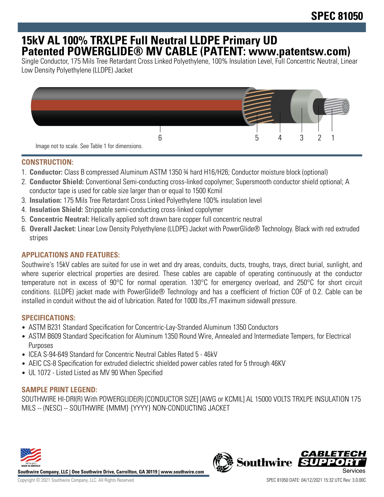# **15kV AL 100% TRXLPE Full Neutral LLDPE Primary UD Patented POWERGLIDE® MV CABLE (PATENT: www.patentsw.com)**

Single Conductor, 175 Mils Tree Retardant Cross Linked Polyethylene, 100% Insulation Level, Full Concentric Neutral, Linear Low Density Polyethylene (LLDPE) Jacket



## **CONSTRUCTION:**

- 1. **Conductor:** Class B compressed Aluminum ASTM 1350 ¾ hard H16/H26; Conductor moisture block (optional)
- 2. **Conductor Shield:** Conventional Semi-conducting cross-linked copolymer; Supersmooth conductor shield optional; A conductor tape is used for cable size larger than or equal to 1500 Kcmil
- 3. **Insulation:** 175 Mils Tree Retardant Cross Linked Polyethylene 100% insulation level
- 4. **Insulation Shield:** Strippable semi-conducting cross-linked copolymer
- 5. **Concentric Neutral:** Helically applied soft drawn bare copper full concentric neutral
- 6. **Overall Jacket:** Linear Low Density Polyethylene (LLDPE) Jacket with PowerGlide® Technology. Black with red extruded stripes

## **APPLICATIONS AND FEATURES:**

Southwire's 15kV cables are suited for use in wet and dry areas, conduits, ducts, troughs, trays, direct burial, sunlight, and where superior electrical properties are desired. These cables are capable of operating continuously at the conductor temperature not in excess of 90°C for normal operation. 130°C for emergency overload, and 250°C for short circuit conditions. (LLDPE) jacket made with PowerGlide® Technology and has a coefficient of friction COF of 0.2. Cable can be installed in conduit without the aid of lubrication. Rated for 1000 lbs./FT maximum sidewall pressure.

## **SPECIFICATIONS:**

- ASTM B231 Standard Specification for Concentric-Lay-Stranded Aluminum 1350 Conductors
- ASTM B609 Standard Specification for Aluminum 1350 Round Wire, Annealed and Intermediate Tempers, for Electrical Purposes
- ICEA S-94-649 Standard for Concentric Neutral Cables Rated 5 46kV
- AEIC CS-8 Specification for extruded dielectric shielded power cables rated for 5 through 46KV
- UL 1072 Listed Listed as MV 90 When Specified

#### **SAMPLE PRINT LEGEND:**

SOUTHWIRE HI-DRI(R) With POWERGLIDE(R) [CONDUCTOR SIZE] [AWG or KCMIL] AL 15000 VOLTS TRXLPE INSULATION 175 MILS -- (NESC) -- SOUTHWIRE {MMM} {YYYY} NON-CONDUCTING JACKET



**Southwire Company, LLC | One Southwire Drive, Carrollton, GA 30119 | www.southwire.com**

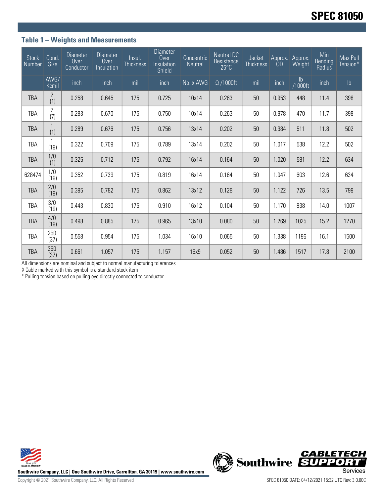## **Table 1 – Weights and Measurements**

| <b>Stock</b><br>Number | Cond.<br><b>Size</b> | <b>Diameter</b><br>Over<br>Conductor | <b>Diameter</b><br>Over<br>Insulation | Insul.<br><b>Thickness</b> | <b>Diameter</b><br>Over<br>Insulation<br>Shield | Concentric<br><b>Neutral</b> | <b>Neutral DC</b><br>Resistance<br>$25^{\circ}$ C | Jacket<br><b>Thickness</b> | Approx.<br><b>OD</b> | Approx.<br>Weight        | Min<br><b>Bending</b><br>Radius | Max Pull<br>Tension* |
|------------------------|----------------------|--------------------------------------|---------------------------------------|----------------------------|-------------------------------------------------|------------------------------|---------------------------------------------------|----------------------------|----------------------|--------------------------|---------------------------------|----------------------|
|                        | AWG/<br>Kcmil        | inch                                 | inch                                  | mil                        | inch                                            | No. x AWG                    | $\Omega$ /1000ft                                  | mil                        | inch                 | $\mathsf{lb}$<br>/1000ft | inch                            | $\mathsf{lb}$        |
| <b>TBA</b>             | 2<br>(1)             | 0.258                                | 0.645                                 | 175                        | 0.725                                           | 10x14                        | 0.263                                             | 50                         | 0.953                | 448                      | 11.4                            | 398                  |
| TBA                    | 2<br>(7)             | 0.283                                | 0.670                                 | 175                        | 0.750                                           | 10x14                        | 0.263                                             | 50                         | 0.978                | 470                      | 11.7                            | 398                  |
| <b>TBA</b>             | (1)                  | 0.289                                | 0.676                                 | 175                        | 0.756                                           | 13x14                        | 0.202                                             | 50                         | 0.984                | 511                      | 11.8                            | 502                  |
| TBA                    | (19)                 | 0.322                                | 0.709                                 | 175                        | 0.789                                           | 13x14                        | 0.202                                             | 50                         | 1.017                | 538                      | 12.2                            | 502                  |
| <b>TBA</b>             | 1/0<br>(1)           | 0.325                                | 0.712                                 | 175                        | 0.792                                           | 16x14                        | 0.164                                             | 50                         | 1.020                | 581                      | 12.2                            | 634                  |
| 628474                 | 1/0<br>(19)          | 0.352                                | 0.739                                 | 175                        | 0.819                                           | 16x14                        | 0.164                                             | 50                         | 1.047                | 603                      | 12.6                            | 634                  |
| <b>TBA</b>             | 2/0<br>(19)          | 0.395                                | 0.782                                 | 175                        | 0.862                                           | 13x12                        | 0.128                                             | 50                         | 1.122                | 726                      | 13.5                            | 799                  |
| TBA                    | 3/0<br>(19)          | 0.443                                | 0.830                                 | 175                        | 0.910                                           | 16x12                        | 0.104                                             | 50                         | 1.170                | 838                      | 14.0                            | 1007                 |
| <b>TBA</b>             | 4/0<br>(19)          | 0.498                                | 0.885                                 | 175                        | 0.965                                           | 13x10                        | 0.080                                             | 50                         | 1.269                | 1025                     | 15.2                            | 1270                 |
| TBA                    | 250<br>(37)          | 0.558                                | 0.954                                 | 175                        | 1.034                                           | 16x10                        | 0.065                                             | 50                         | 1.338                | 1196                     | 16.1                            | 1500                 |
| <b>TBA</b>             | 350<br>(37)          | 0.661                                | 1.057                                 | 175                        | 1.157                                           | 16x9                         | 0.052                                             | 50                         | 1.486                | 1517                     | 17.8                            | 2100                 |

All dimensions are nominal and subject to normal manufacturing tolerances

◊ Cable marked with this symbol is a standard stock item

\* Pulling tension based on pulling eye directly connected to conductor





Copyright © 2021 Southwire Company, LLC. All Rights Reserved SPEC 81050 DATE: 04/12/2021 15:32 UTC Rev: 3.0.00C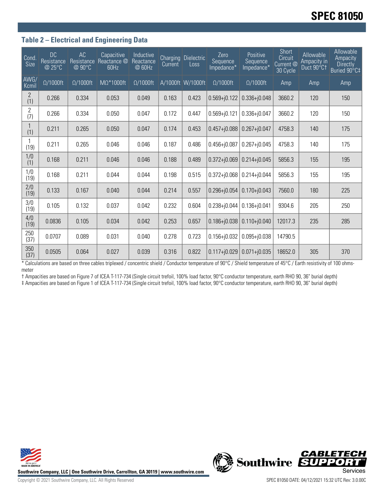## **Table 2 – Electrical and Engineering Data**

| Cond.<br>Size         | <b>DC</b><br>Resistance<br>@ 25°C | AC<br>Resistance<br>@ 90°C | Capacitive<br>Reactance @<br>60Hz | Inductive<br>Reactance<br>@ 60Hz | Current | <b>Charging Dielectric</b><br>Loss | Zero<br>Sequence<br>Impedance* | Positive<br>Sequence<br>Impedance* | Short<br>Circuit<br>Current <sup>@</sup><br>30 Cycle | Allowable<br>Ampacity in<br>Duct 90°C1 | <b>Allowable</b><br>Ampacity<br><b>Directly</b><br>Buried 90°C‡ |
|-----------------------|-----------------------------------|----------------------------|-----------------------------------|----------------------------------|---------|------------------------------------|--------------------------------|------------------------------------|------------------------------------------------------|----------------------------------------|-----------------------------------------------------------------|
| AWG/<br>Kcmil         | $\Omega/1000$ ft                  | $\Omega/1000$ ft           | MΩ*1000ft                         | $\Omega/1000$ ft                 |         | A/1000ft W/1000ft                  | $\Omega/1000$ ft               | $\Omega/1000$ ft                   | Amp                                                  | Amp                                    | Amp                                                             |
| $\mathbf{2}$<br>(1)   | 0.266                             | 0.334                      | 0.053                             | 0.049                            | 0.163   | 0.423                              | $0.569 + j0.122$               | $0.336 + j0.048$                   | 3660.2                                               | 120                                    | 150                                                             |
| $\overline{2}$<br>(7) | 0.266                             | 0.334                      | 0.050                             | 0.047                            | 0.172   | 0.447                              | $0.569 + j0.121$               | $0.336 + j0.047$                   | 3660.2                                               | 120                                    | 150                                                             |
| (1)                   | 0.211                             | 0.265                      | 0.050                             | 0.047                            | 0.174   | 0.453                              | $0.457 + 0.088$                | $0.267 + j0.047$                   | 4758.3                                               | 140                                    | 175                                                             |
| (19)                  | 0.211                             | 0.265                      | 0.046                             | 0.046                            | 0.187   | 0.486                              | $0.456 + j0.087$               | $0.267 + j0.045$                   | 4758.3                                               | 140                                    | 175                                                             |
| 1/0<br>(1)            | 0.168                             | 0.211                      | 0.046                             | 0.046                            | 0.188   | 0.489                              | $0.372 + j0.069$               | $0.214 + j0.045$                   | 5856.3                                               | 155                                    | 195                                                             |
| 1/0<br>(19)           | 0.168                             | 0.211                      | 0.044                             | 0.044                            | 0.198   | 0.515                              | $0.372 + j0.068$               | $0.214 + j0.044$                   | 5856.3                                               | 155                                    | 195                                                             |
| 2/0<br>(19)           | 0.133                             | 0.167                      | 0.040                             | 0.044                            | 0.214   | 0.557                              | $0.296 + j0.054$               | $0.170 + j0.043$                   | 7560.0                                               | 180                                    | 225                                                             |
| 3/0<br>(19)           | 0.105                             | 0.132                      | 0.037                             | 0.042                            | 0.232   | 0.604                              | $0.238 + j0.044$               | $0.136 + j0.041$                   | 9304.6                                               | 205                                    | 250                                                             |
| 4/0<br>(19)           | 0.0836                            | 0.105                      | 0.034                             | 0.042                            | 0.253   | 0.657                              | $0.186 + j0.038$               | $0.110 + j0.040$                   | 12017.3                                              | 235                                    | 285                                                             |
| 250<br>(37)           | 0.0707                            | 0.089                      | 0.031                             | 0.040                            | 0.278   | 0.723                              | $0.156 + j0.032$               | $0.095 + j0.038$                   | 14790.5                                              |                                        |                                                                 |
| 350<br>(37)           | 0.0505                            | 0.064                      | 0.027                             | 0.039                            | 0.316   | 0.822                              | $0.117 + 0.029$                | $0.071 + j0.035$                   | 18652.0                                              | 305                                    | 370                                                             |

\* Calculations are based on three cables triplexed / concentric shield / Conductor temperature of 90°C / Shield temperature of 45°C / Earth resistivity of 100 ohmsmeter

† Ampacities are based on Figure 7 of ICEA T-117-734 (Single circuit trefoil, 100% load factor, 90°C conductor temperature, earth RHO 90, 36" burial depth)

‡ Ampacities are based on Figure 1 of ICEA T-117-734 (Single circuit trefoil, 100% load factor, 90°C conductor temperature, earth RHO 90, 36" burial depth)



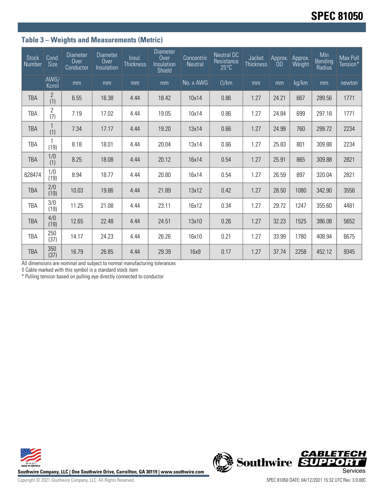# **Table 3 – Weights and Measurements (Metric)**

| <b>Stock</b><br>Number | Cond.<br>Size         | <b>Diameter</b><br>Over<br>Conductor | <b>Diameter</b><br>Over<br>Insulation | Insul.<br><b>Thickness</b> | <b>Diameter</b><br>Over<br>Insulation<br>Shield | Concentric<br><b>Neutral</b> | <b>Neutral DC</b><br>Resistance<br>$25^{\circ}$ C | Jacket<br><b>Thickness</b> | Approx.<br><b>OD</b> | Approx.<br>Weight | Min<br>Bending<br>Radius | Max Pull<br>Tension* |
|------------------------|-----------------------|--------------------------------------|---------------------------------------|----------------------------|-------------------------------------------------|------------------------------|---------------------------------------------------|----------------------------|----------------------|-------------------|--------------------------|----------------------|
|                        | AWG/<br>Kcmil         | mm                                   | mm                                    | mm                         | mm                                              | No. x AWG                    | $\Omega$ /km                                      | mm                         | mm                   | kg/km             | mm                       | newton               |
| <b>TBA</b>             | 2<br>(1)              | 6.55                                 | 16.38                                 | 4.44                       | 18.42                                           | 10x14                        | 0.86                                              | 1.27                       | 24.21                | 667               | 289.56                   | 1771                 |
| <b>TBA</b>             | $\overline{2}$<br>(7) | 7.19                                 | 17.02                                 | 4.44                       | 19.05                                           | 10x14                        | 0.86                                              | 1.27                       | 24.84                | 699               | 297.18                   | 1771                 |
| <b>TBA</b>             | (1)                   | 7.34                                 | 17.17                                 | 4.44                       | 19.20                                           | 13x14                        | 0.66                                              | 1.27                       | 24.99                | 760               | 299.72                   | 2234                 |
| TBA                    | (19)                  | 8.18                                 | 18.01                                 | 4.44                       | 20.04                                           | 13x14                        | 0.66                                              | 1.27                       | 25.83                | 801               | 309.88                   | 2234                 |
| <b>TBA</b>             | 1/0<br>(1)            | 8.25                                 | 18.08                                 | 4.44                       | 20.12                                           | 16x14                        | 0.54                                              | 1.27                       | 25.91                | 865               | 309.88                   | 2821                 |
| 628474                 | 1/0<br>(19)           | 8.94                                 | 18.77                                 | 4.44                       | 20.80                                           | 16x14                        | 0.54                                              | 1.27                       | 26.59                | 897               | 320.04                   | 2821                 |
| <b>TBA</b>             | 2/0<br>(19)           | 10.03                                | 19.86                                 | 4.44                       | 21.89                                           | 13x12                        | 0.42                                              | 1.27                       | 28.50                | 1080              | 342.90                   | 3556                 |
| <b>TBA</b>             | 3/0<br>(19)           | 11.25                                | 21.08                                 | 4.44                       | 23.11                                           | 16x12                        | 0.34                                              | 1.27                       | 29.72                | 1247              | 355.60                   | 4481                 |
| <b>TBA</b>             | 4/0<br>(19)           | 12.65                                | 22.48                                 | 4.44                       | 24.51                                           | 13x10                        | 0.26                                              | 1.27                       | 32.23                | 1525              | 386.08                   | 5652                 |
| <b>TBA</b>             | 250<br>(37)           | 14.17                                | 24.23                                 | 4.44                       | 26.26                                           | 16x10                        | 0.21                                              | 1.27                       | 33.99                | 1780              | 408.94                   | 6675                 |
| <b>TBA</b>             | 350<br>(37)           | 16.79                                | 26.85                                 | 4.44                       | 29.39                                           | 16x9                         | 0.17                                              | 1.27                       | 37.74                | 2258              | 452.12                   | 9345                 |

All dimensions are nominal and subject to normal manufacturing tolerances

◊ Cable marked with this symbol is a standard stock item

\* Pulling tension based on pulling eye directly connected to conductor